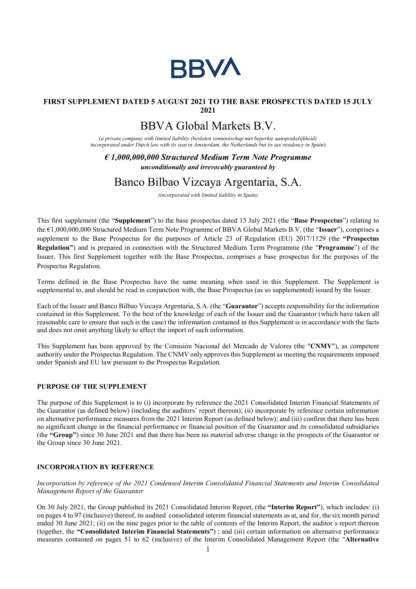

# FIRST SUPPLEMENT DATED 5 AUGUST 2021 TO THE BASE PROSPECTUS DATED 15 JULY 2021

# BBVA Global Markets B.V.

(a private company with limited liability (besloten vennootschap met beperkte aansprakelijkheid) incorporated under Dutch law with its seat in Amsterdam, the Netherlands but its tax residency in Spain)

 $\epsilon$  1,000,000,000 Structured Medium Term Note Programme unconditionally and irrevocably guaranteed by

# Banco Bilbao Vizcaya Argentaria, S.A.

(incorporated with limited liability in Spain)

This first supplement (the "Supplement") to the base prospectus dated 15 July 2021 (the "Base Prospectus") relating to the €1,000,000,000 Structured Medium Term Note Programme of BBVA Global Markets B.V. (the "Issuer"), comprises a supplement to the Base Prospectus for the purposes of Article 23 of Regulation (EU) 2017/1129 (the "Prospectus Regulation") and is prepared in connection with the Structured Medium Term Programme (the "Programme") of the Issuer. This first Supplement together with the Base Prospectus, comprises a base prospectus for the purposes of the Prospectus Regulation.

Terms defined in the Base Prospectus have the same meaning when used in this Supplement. The Supplement is supplemental to, and should be read in conjunction with, the Base Prospectus (as so supplemented) issued by the Issuer.

Each of the Issuer and Banco Bilbao Vizcaya Argentaria, S.A. (the "Guarantor") accepts responsibility for the information contained in this Supplement. To the best of the knowledge of each of the Issuer and the Guarantor (which have taken all reasonable care to ensure that such is the case) the information contained in this Supplement is in accordance with the facts and does not omit anything likely to affect the import of such information.

This Supplement has been approved by the Comisión Nacional del Mercado de Valores (the "CNMV"), as competent authority under the Prospectus Regulation. The CNMV only approves this Supplement as meeting the requirements imposed under Spanish and EU law pursuant to the Prospectus Regulation.

## PURPOSE OF THE SUPPLEMENT

The purpose of this Supplement is to (i) incorporate by reference the 2021 Consolidated Interim Financial Statements of the Guarantor (as defined below) (including the auditors' report thereon); (ii) incorporate by reference certain information on alternative performance measures from the 2021 Interim Report (as defined below); and (iii) confirm that there has been no significant change in the financial performance or financial position of the Guarantor and its consolidated subsidiaries (the "Group") since 30 June 2021 and that there has been no material adverse change in the prospects of the Guarantor or the Group since 30 June 2021.

#### INCORPORATION BY REFERENCE

Incorporation by reference of the 2021 Condensed Interim Consolidated Financial Statements and Interim Consolidated Management Report of the Guarantor

On 30 July 2021, the Group published its 2021 Consolidated Interim Report, (the "Interim Report"), which includes: (i) on pages 4 to 97 (inclusive) thereof, its audited consolidated interim financial statements as at, and for, the six month period ended 30 June 2021; (ii) on the nine pages prior to the table of contents of the Interim Report, the auditor´s report thereon (together, the "Consolidated Interim Financial Statements") ; and (iii) certain information on alternative performance measures contained on pages 51 to 62 (inclusive) of the Interim Consolidated Management Report (the "Alternative